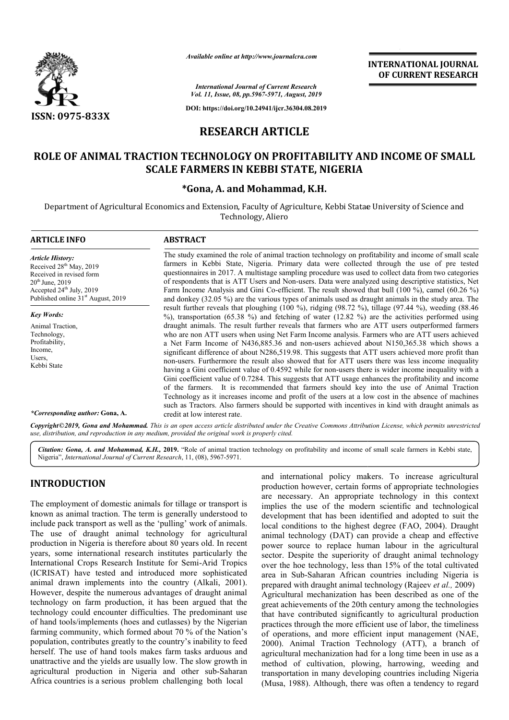

*Available online at http://www.journalcra.com*

**INTERNATIONAL JOURNAL OF CURRENT RESEARCH**

*International Journal of Current Research Vol. 11, Issue, 08, pp.5967-5971, August, 2019*

**DOI: https://doi.org/10.24941/ijcr.36304.08.2019**

# **RESEARCH ARTICLE**

# **ROLE OF ANIMAL TRACTION TECHNOLOGY ON PROFITABILITY AND INCOME OF SMALL ROLE OF SCALE FARMERS IN KEBBI STATE, NIGERIA**

# **\* \*Gona, A. and Mohammad, K.H.**

Department of Agricultural Economics and Extension, Faculty of Agriculture, Kebbi Statae University of Science and Technology, Aliero

| <b>ARTICLE INFO</b>                                                                                                                                                                                | <b>ABSTRACT</b>                                                                                                                                                                                                                                                                                                                                                                                                                                                                                                                                                                                                                                                                                                                                                                                                                                                                                                                                                                                                                                                                                                                                                                                                                                               |
|----------------------------------------------------------------------------------------------------------------------------------------------------------------------------------------------------|---------------------------------------------------------------------------------------------------------------------------------------------------------------------------------------------------------------------------------------------------------------------------------------------------------------------------------------------------------------------------------------------------------------------------------------------------------------------------------------------------------------------------------------------------------------------------------------------------------------------------------------------------------------------------------------------------------------------------------------------------------------------------------------------------------------------------------------------------------------------------------------------------------------------------------------------------------------------------------------------------------------------------------------------------------------------------------------------------------------------------------------------------------------------------------------------------------------------------------------------------------------|
| <b>Article History:</b><br>Received 28 <sup>th</sup> May, 2019<br>Received in revised form<br>$20^{th}$ June, 2019<br>Accepted $24th$ July, 2019<br>Published online 31 <sup>st</sup> August, 2019 | The study examined the role of animal traction technology on profitability and income of small scale<br>farmers in Kebbi State, Nigeria. Primary data were collected through the use of pre tested<br>questionnaires in 2017. A multistage sampling procedure was used to collect data from two categories<br>of respondents that is ATT Users and Non-users. Data were analyzed using descriptive statistics, Net<br>Farm Income Analysis and Gini Co-efficient. The result showed that bull (100 %), camel (60.26 %)<br>and donkey (32.05 %) are the various types of animals used as draught animals in the study area. The                                                                                                                                                                                                                                                                                                                                                                                                                                                                                                                                                                                                                                |
| <b>Key Words:</b><br>Animal Traction,<br>Technology,<br>Profitability,<br>Income.<br>Users,<br>Kebbi State                                                                                         | result further reveals that ploughing $(100\%)$ , ridging $(98.72\%)$ , tillage $(97.44\%)$ , weeding $(88.46\%)$<br>$\%$ ), transportation (65.38 %) and fetching of water (12.82 %) are the activities performed using<br>draught animals. The result further reveals that farmers who are ATT users outperformed farmers<br>who are non ATT users when using Net Farm Income analysis. Farmers who are ATT users achieved<br>a Net Farm Income of N436,885.36 and non-users achieved about N150,365.38 which shows a<br>significant difference of about N286,519.98. This suggests that ATT users achieved more profit than<br>non-users. Furthermore the result also showed that for ATT users there was less income inequality<br>having a Gini coefficient value of 0.4592 while for non-users there is wider income inequality with a<br>Gini coefficient value of 0.7284. This suggests that ATT usage enhances the profitability and income<br>of the farmers. It is recommended that farmers should key into the use of Animal Traction<br>Technology as it increases income and profit of the users at a low cost in the absence of machines<br>such as Tractors. Also farmers should be supported with incentives in kind with draught animals as |
| *Corresponding author: Gona, A.                                                                                                                                                                    | credit at low interest rate.                                                                                                                                                                                                                                                                                                                                                                                                                                                                                                                                                                                                                                                                                                                                                                                                                                                                                                                                                                                                                                                                                                                                                                                                                                  |

Copyright©2019, Gona and Mohammad. This is an open access article distributed under the Creative Commons Attribution License, which permits unrestrictea *use, distribution, and reproduction in any medium, provided the original work is properly cited.*

Citation: Gona, A. and Mohammad, K.H., 2019. "Role of animal traction technology on profitability and income of small scale farmers in Kebbi state, Nigeria", *International Journal of Current Research*, 11, (08), 5967-5971.

# **INTRODUCTION**

The employment of domestic animals for tillage or transport is known as animal traction. The term is generally understood to include pack transport as well as the 'pulling' work of animals. The use of draught animal technology for agricultural production in Nigeria is therefore about 80 years old. In recent years, some international research institutes particularly the International Crops Research Institute for Semi-Arid Tropics (ICRISAT) have tested and introduced more sophisticated animal drawn implements into the country (Alkali, 2001). However, despite the numerous advantages of draught animal technology on farm production, it has been argued that the technology could encounter difficulties. The predominant use of hand tools/implements (hoes and cutlasses) by the Nigerian farming community, which formed about 70 % of the Nation's population, contributes greatly to the country's inability to feed herself. The use of hand tools makes farm tasks arduous and unattractive and the yields are usually low. The slow growth in agricultural production in Nigeria and other sub Africa countries is a serious problem challenging both local fore about 80 years old. In recent<br>search institutes particularly the<br>Institute for Semi-Arid Tropics hology could encounter difficulties. The predominant use<br>nd tools/implements (hoes and cutlasses) by the Nigerian<br>ing community, which formed about 70 % of the Nation's<br>lation, contributes greatly to the country's inabilit and international policy makers. To increase agricultural production however, certain forms of appropriate technologies are necessary. An appropriate technology in this context implies the use of the modern scientific and technological development that has been identified and adopted to suit the local conditions to the highest degree (FAO, 2004). Draught animal technology (DAT) can provide a cheap and effective power source to replace human labour in the agricultural sector. Despite the superiority of draught animal technology over the hoe technology, less than 15% of the total cultivated area in Sub-Saharan African countries including Nige prepared with draught animal technology (Rajeev et al., 2009) Agricultural mechanization has been described as one of the great achievements of the 20th century among the technologies that have contributed significantly to agricultural production practices through the more efficient use of labor, the timeliness of operations, and more efficient input management (NAE, 2000). Animal Traction Technology (ATT), a branch of agricultural mechanization had for a long time been in use as a method of cultivation, plowing, harrowing, weeding and transportation in many developing countries including Nigeria (Musa, 1988). Although, there was often a tendency to regard international policy makers. To increase agricultural<br>action however, certain forms of appropriate technologies<br>necessary. An appropriate technology in this context<br>es the use of the modern scientific and technological<br>opm power source to replace human labour in the agricultural sector. Despite the superiority of draught animal technology over the hoe technology, less than 15% of the total cultivated area in Sub-Saharan African countries inc Agricultural mechanization has been described as one of the great achievements of the 20th century among the technologies that have contributed significantly to agricultural production practices through the more efficient **INTERNATIONAL JOURNAL CONSULTS (CONSULTS)**<br> **INTERNATIONAL JOURNAL FORMATION (CONSULTS)**<br> **INTERNATIONAL DOURNAL CONSULTS (CONSULTS)**<br> **INTERNATIONAL CONSULTS (CONSULTS)**<br> **INTERNATIONAL CONSULTS AND INCOME OF SMALL BBI**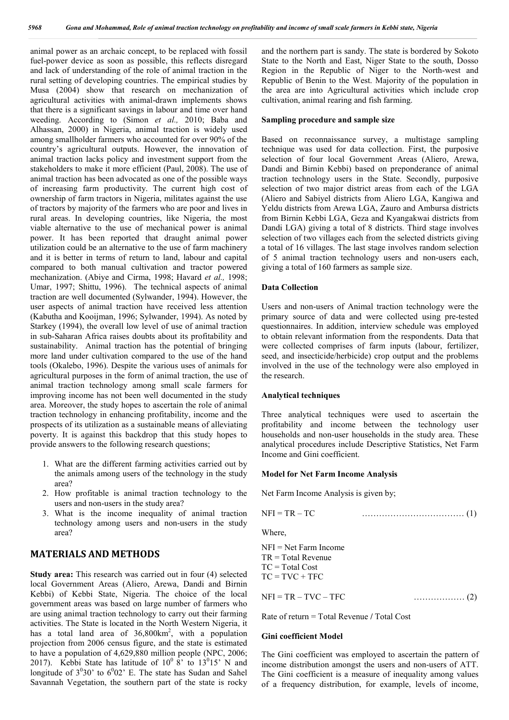animal power as an archaic concept, to be replaced with fossil fuel-power device as soon as possible, this reflects disregard and lack of understanding of the role of animal traction in the rural setting of developing countries. The empirical studies by Musa (2004) show that research on mechanization of agricultural activities with animal-drawn implements shows that there is a significant savings in labour and time over hand weeding. According to (Simon *et al.,* 2010; Baba and Alhassan, 2000) in Nigeria, animal traction is widely used among smallholder farmers who accounted for over 90% of the country's agricultural outputs. However, the innovation of animal traction lacks policy and investment support from the stakeholders to make it more efficient (Paul, 2008). The use of animal traction has been advocated as one of the possible ways of increasing farm productivity. The current high cost of ownership of farm tractors in Nigeria, militates against the use of tractors by majority of the farmers who are poor and lives in rural areas. In developing countries, like Nigeria, the most viable alternative to the use of mechanical power is animal power. It has been reported that draught animal power utilization could be an alternative to the use of farm machinery and it is better in terms of return to land, labour and capital compared to both manual cultivation and tractor powered mechanization. (Abiye and Cirma, 1998; Havard *et al.,* 1998; Umar, 1997; Shittu, 1996). The technical aspects of animal traction are well documented (Sylwander, 1994). However, the user aspects of animal traction have received less attention (Kabutha and Kooijman, 1996; Sylwander, 1994). As noted by Starkey (1994), the overall low level of use of animal traction in sub-Saharan Africa raises doubts about its profitability and sustainability. Animal traction has the potential of bringing more land under cultivation compared to the use of the hand tools (Okalebo, 1996). Despite the various uses of animals for agricultural purposes in the form of animal traction, the use of animal traction technology among small scale farmers for improving income has not been well documented in the study area. Moreover, the study hopes to ascertain the role of animal traction technology in enhancing profitability, income and the prospects of its utilization as a sustainable means of alleviating poverty. It is against this backdrop that this study hopes to provide answers to the following research questions;

- 1. What are the different farming activities carried out by the animals among users of the technology in the study area?
- 2. How profitable is animal traction technology to the users and non-users in the study area?
- 3. What is the income inequality of animal traction technology among users and non-users in the study area?

### **MATERIALS AND METHODS**

**Study area:** This research was carried out in four (4) selected local Government Areas (Aliero, Arewa, Dandi and Birnin Kebbi) of Kebbi State, Nigeria. The choice of the local government areas was based on large number of farmers who are using animal traction technology to carry out their farming activities. The State is located in the North Western Nigeria, it has a total land area of  $36,800 \text{km}^2$ , with a population projection from 2006 census figure, and the state is estimated to have a population of 4,629,880 million people (NPC, 2006; 2017). Kebbi State has latitude of  $10^0$  8' to  $13^0$ 15' N and longitude of  $3^0 30'$  to  $6^0 02'$  E. The state has Sudan and Sahel Savannah Vegetation, the southern part of the state is rocky

and the northern part is sandy. The state is bordered by Sokoto State to the North and East, Niger State to the south, Dosso Region in the Republic of Niger to the North-west and Republic of Benin to the West. Majority of the population in the area are into Agricultural activities which include crop cultivation, animal rearing and fish farming.

#### **Sampling procedure and sample size**

Based on reconnaissance survey, a multistage sampling technique was used for data collection. First, the purposive selection of four local Government Areas (Aliero, Arewa, Dandi and Birnin Kebbi) based on preponderance of animal traction technology users in the State. Secondly, purposive selection of two major district areas from each of the LGA (Aliero and Sabiyel districts from Aliero LGA, Kangiwa and Yeldu districts from Arewa LGA, Zauro and Ambursa districts from Birnin Kebbi LGA, Geza and Kyangakwai districts from Dandi LGA) giving a total of 8 districts. Third stage involves selection of two villages each from the selected districts giving a total of 16 villages. The last stage involves random selection of 5 animal traction technology users and non-users each, giving a total of 160 farmers as sample size.

### **Data Collection**

Users and non-users of Animal traction technology were the primary source of data and were collected using pre-tested questionnaires. In addition, interview schedule was employed to obtain relevant information from the respondents. Data that were collected comprises of farm inputs (labour, fertilizer, seed, and insecticide/herbicide) crop output and the problems involved in the use of the technology were also employed in the research.

#### **Analytical techniques**

Three analytical techniques were used to ascertain the profitability and income between the technology user households and non-user households in the study area. These analytical procedures include Descriptive Statistics, Net Farm Income and Gini coefficient.

### **Model for Net Farm Income Analysis**

Net Farm Income Analysis is given by;

| NFI |  |  |
|-----|--|--|
|     |  |  |

Where,

NFI = Net Farm Income TR = Total Revenue  $TC = Total Cost$  $TC = TVC + TFC$ 

NFI = TR – TVC – TFC ……………… (2)

Rate of return = Total Revenue **/** Total Cost

### **Gini coefficient Model**

The Gini coefficient was employed to ascertain the pattern of income distribution amongst the users and non-users of ATT. The Gini coefficient is a measure of inequality among values of a frequency distribution, for example, levels of income,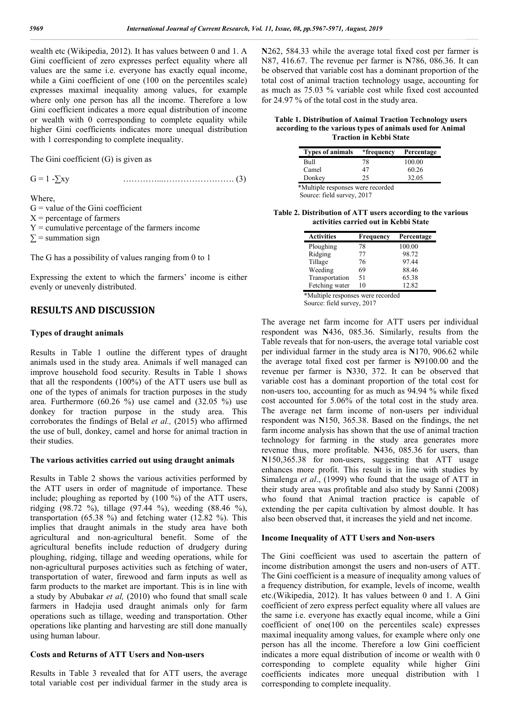wealth etc (Wikipedia, 2012). It has values between 0 and 1. A Gini coefficient of zero expresses perfect equality where all values are the same i.e. everyone has exactly equal income, while a Gini coefficient of one (100 on the percentiles scale) expresses maximal inequality among values, for example where only one person has all the income. Therefore a low Gini coefficient indicates a more equal distribution of income or wealth with 0 corresponding to complete equality while higher Gini coefficients indicates more unequal distribution with 1 corresponding to complete inequality.

The Gini coefficient (G) is given as

G = 1 -∑xy …………...……………………. (3)

Where,

- $G =$  value of the Gini coefficient
- $X =$  percentage of farmers
- $Y =$  cumulative percentage of the farmers income

 $\Sigma$  = summation sign

The G has a possibility of values ranging from 0 to 1

Expressing the extent to which the farmers' income is either evenly or unevenly distributed.

## **RESULTS AND DISCUSSION**

### **Types of draught animals**

Results in Table 1 outline the different types of draught animals used in the study area. Animals if well managed can improve household food security. Results in Table 1 shows that all the respondents (100%) of the ATT users use bull as one of the types of animals for traction purposes in the study area. Furthermore  $(60.26 \%)$  use camel and  $(32.05 \%)$  use donkey for traction purpose in the study area. This corroborates the findings of Belal *et al.,* (2015) who affirmed the use of bull, donkey, camel and horse for animal traction in their studies.

### **The various activities carried out using draught animals**

Results in Table 2 shows the various activities performed by the ATT users in order of magnitude of importance. These include; ploughing as reported by (100 %) of the ATT users, ridging (98.72 %), tillage (97.44 %), weeding (88.46 %), transportation (65.38 %) and fetching water (12.82 %). This implies that draught animals in the study area have both agricultural and non-agricultural benefit. Some of the agricultural benefits include reduction of drudgery during ploughing, ridging, tillage and weeding operations, while for non-agricultural purposes activities such as fetching of water, transportation of water, firewood and farm inputs as well as farm products to the market are important. This is in line with a study by Abubakar *et al,* (2010) who found that small scale farmers in Hadejia used draught animals only for farm operations such as tillage, weeding and transportation. Other operations like planting and harvesting are still done manually using human labour.

### **Costs and Returns of ATT Users and Non-users**

Results in Table 3 revealed that for ATT users, the average total variable cost per individual farmer in the study area is **N**262, 584.33 while the average total fixed cost per farmer is N87, 416.67. The revenue per farmer is **N**786, 086.36. It can be observed that variable cost has a dominant proportion of the total cost of animal traction technology usage, accounting for as much as 75.03 % variable cost while fixed cost accounted for 24.97 % of the total cost in the study area.

**Table 1. Distribution of Animal Traction Technology users according to the various types of animals used for Animal Traction in Kebbi State**

| <b>Types of animals</b>           | *frequency | Percentage |
|-----------------------------------|------------|------------|
| Bull                              | 78         | 100.00     |
| Camel                             | 47         | 60.26      |
| Donkey                            | 25         | 32.05      |
| *Multiple responses were recorded |            |            |

Source: field survey, 2017

**Table 2. Distribution of ATT users according to the various activities carried out in Kebbi State**

| <b>Activities</b> | Frequency | Percentage |
|-------------------|-----------|------------|
|                   |           |            |
| Ploughing         | 78        | 100.00     |
| Ridging           | 77        | 98.72      |
| Tillage           | 76        | 97.44      |
| Weeding           | 69        | 88.46      |
| Transportation    | 51        | 65.38      |
| Fetching water    | 10        | 12.82      |

\*Multiple responses were recorded Source: field survey, 2017

The average net farm income for ATT users per individual respondent was **N**436, 085.36. Similarly, results from the Table reveals that for non-users, the average total variable cost per individual farmer in the study area is **N**170, 906.62 while the average total fixed cost per farmer is **N**9100.00 and the revenue per farmer is **N**330, 372. It can be observed that variable cost has a dominant proportion of the total cost for non-users too, accounting for as much as 94.94 % while fixed cost accounted for 5.06% of the total cost in the study area. The average net farm income of non-users per individual respondent was **N**150, 365.38. Based on the findings, the net farm income analysis has shown that the use of animal traction technology for farming in the study area generates more revenue thus, more profitable. **N**436, 085.36 for users, than **N**150,365.38 for non-users, suggesting that ATT usage enhances more profit. This result is in line with studies by Simalenga *et al*., (1999) who found that the usage of ATT in their study area was profitable and also study by Sanni (2008) who found that Animal traction practice is capable of extending the per capita cultivation by almost double. It has also been observed that, it increases the yield and net income.

### **Income Inequality of ATT Users and Non-users**

The Gini coefficient was used to ascertain the pattern of income distribution amongst the users and non-users of ATT. The Gini coefficient is a measure of inequality among values of a frequency distribution, for example, levels of income, wealth etc.(Wikipedia, 2012). It has values between 0 and 1. A Gini coefficient of zero express perfect equality where all values are the same i.e. everyone has exactly equal income, while a Gini coefficient of one(100 on the percentiles scale) expresses maximal inequality among values, for example where only one person has all the income. Therefore a low Gini coefficient indicates a more equal distribution of income or wealth with 0 corresponding to complete equality while higher Gini coefficients indicates more unequal distribution with 1 corresponding to complete inequality.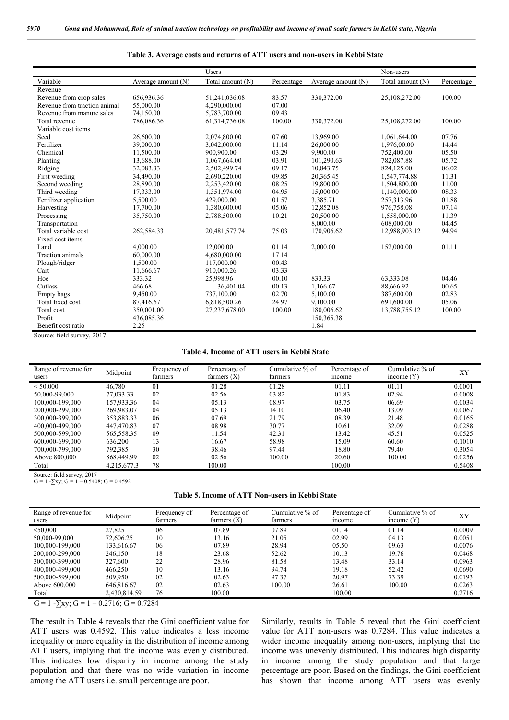|                              |                    | <b>Users</b>     |            |                    | Non-users        |            |
|------------------------------|--------------------|------------------|------------|--------------------|------------------|------------|
| Variable                     | Average amount (N) | Total amount (N) | Percentage | Average amount (N) | Total amount (N) | Percentage |
| Revenue                      |                    |                  |            |                    |                  |            |
| Revenue from crop sales      | 656,936.36         | 51,241,036.08    | 83.57      | 330,372.00         | 25,108,272.00    | 100.00     |
| Revenue from traction animal | 55,000.00          | 4,290,000.00     | 07.00      |                    |                  |            |
| Revenue from manure sales    | 74.150.00          | 5,783,700.00     | 09.43      |                    |                  |            |
| Total revenue                | 786,086.36         | 61,314,736.08    | 100.00     | 330,372.00         | 25,108,272.00    | 100.00     |
| Variable cost items          |                    |                  |            |                    |                  |            |
| Seed                         | 26.600.00          | 2.074.800.00     | 07.60      | 13.969.00          | 1,061,644.00     | 07.76      |
| Fertilizer                   | 39,000.00          | 3,042,000.00     | 11.14      | 26,000.00          | 1,976,00.00      | 14.44      |
| Chemical                     | 11,500.00          | 900,900.00       | 03.29      | 9,900.00           | 752,400.00       | 05.50      |
| Planting                     | 13,688.00          | 1,067,664.00     | 03.91      | 101,290.63         | 782,087.88       | 05.72      |
| Ridging                      | 32.083.33          | 2,502,499.74     | 09.17      | 10.843.75          | 824.125.00       | 06.02      |
| First weeding                | 34,490.00          | 2,690,220.00     | 09.85      | 20,365.45          | 1,547,774.88     | 11.31      |
| Second weeding               | 28,890.00          | 2,253,420.00     | 08.25      | 19,800.00          | 1.504.800.00     | 11.00      |
| Third weeding                | 17,333.00          | 1,351,974.00     | 04.95      | 15,000.00          | 1,140,000.00     | 08.33      |
| Fertilizer application       | 5,500.00           | 429,000.00       | 01.57      | 3,385.71           | 257,313.96       | 01.88      |
| Harvesting                   | 17,700.00          | 1,380,600.00     | 05.06      | 12,852.08          | 976,758.08       | 07.14      |
| Processing                   | 35,750.00          | 2,788,500.00     | 10.21      | 20,500.00          | 1,558,000.00     | 11.39      |
| Transportation               |                    |                  |            | 8,000.00           | 608,000.00       | 04.45      |
| Total variable cost          | 262,584.33         | 20,481,577.74    | 75.03      | 170.906.62         | 12,988,903.12    | 94.94      |
| Fixed cost items             |                    |                  |            |                    |                  |            |
| Land                         | 4.000.00           | 12,000.00        | 01.14      | 2,000.00           | 152,000.00       | 01.11      |
| <b>Traction</b> animals      | 60.000.00          | 4.680.000.00     | 17.14      |                    |                  |            |
| Plough/ridger                | 1,500.00           | 117,000.00       | 00.43      |                    |                  |            |
| Cart                         | 11.666.67          | 910.000.26       | 03.33      |                    |                  |            |
| Hoe                          | 333.32             | 25,998.96        | 00.10      | 833.33             | 63,333.08        | 04.46      |
| Cutlass                      | 466.68             | 36,401.04        | 00.13      | 1.166.67           | 88,666.92        | 00.65      |
| Empty bags                   | 9,450.00           | 737,100.00       | 02.70      | 5.100.00           | 387,600.00       | 02.83      |
| Total fixed cost             | 87,416.67          | 6,818,500.26     | 24.97      | 9,100.00           | 691,600.00       | 05.06      |
| Total cost                   | 350,001.00         | 27,237,678.00    | 100.00     | 180,006.62         | 13,788,755.12    | 100.00     |
| Profit                       | 436,085.36         |                  |            | 150,365.38         |                  |            |
| Benefit cost ratio           | 2.25               |                  |            | 1.84               |                  |            |

#### **Table 3. Average costs and returns of ATT users and non-users in Kebbi State**

Source: field survey, 2017

#### **Table 4. Income of ATT users in Kebbi State**

| Range of revenue for | Midpoint    | Frequency of   | Percentage of | Cumulative % of | Percentage of | Cumulative % of | XY     |
|----------------------|-------------|----------------|---------------|-----------------|---------------|-----------------|--------|
| users                |             | farmers        | farmers $(X)$ | farmers         | mcome         | income $(Y)$    |        |
| < 50,000             | 46.780      | 0 <sub>1</sub> | 01.28         | 01.28           | 01.11         | 01.11           | 0.0001 |
| 50.000-99.000        | 77.033.33   | 02             | 02.56         | 03.82           | 01.83         | 02.94           | 0.0008 |
| 100.000-199.000      | 157.933.36  | 04             | 05.13         | 08.97           | 03.75         | 06.69           | 0.0034 |
| 200.000-299.000      | 269.983.07  | 04             | 05.13         | 14.10           | 06.40         | 13.09           | 0.0067 |
| 300,000-399,000      | 353.883.33  | 06             | 07.69         | 21.79           | 08.39         | 21.48           | 0.0165 |
| 400,000-499,000      | 447.470.83  | 07             | 08.98         | 30.77           | 10.61         | 32.09           | 0.0288 |
| 500,000-599,000      | 565,558.35  | 09             | 11.54         | 42.31           | 13.42         | 45.51           | 0.0525 |
| 600,000-699,000      | 636.200     | 13             | 16.67         | 58.98           | 15.09         | 60.60           | 0.1010 |
| 700.000-799.000      | 792.385     | 30             | 38.46         | 97.44           | 18.80         | 79.40           | 0.3054 |
| Above 800,000        | 868,449.99  | 02             | 02.56         | 100.00          | 20.60         | 100.00          | 0.0256 |
| Total                | 4,215,677.3 | 78             | 100.00        |                 | 100.00        |                 | 0.5408 |

Source: field survey, 2017

G = 1 -∑xy; G = 1 – 0.5408; G = 0.4592

| Table 5. Income of ATT Non-users in Kebbi State |
|-------------------------------------------------|
|                                                 |

| Range of revenue for<br>users | Midpoint     | Frequency of<br>farmers | Percentage of<br>farmers $(X)$ | Cumulative % of<br>farmers | Percentage of<br>income | Cumulative % of<br>income $(Y)$ | XY     |
|-------------------------------|--------------|-------------------------|--------------------------------|----------------------------|-------------------------|---------------------------------|--------|
| $<$ 50,000                    | 27.825       | 06                      | 07.89                          | 07.89                      | 01.14                   | 01.14                           | 0.0009 |
| 50.000-99.000                 | 72,606.25    | 10                      | 13.16                          | 21.05                      | 02.99                   | 04.13                           | 0.0051 |
| 100.000-199.000               | 133.616.67   | 06                      | 07.89                          | 28.94                      | 05.50                   | 09.63                           | 0.0076 |
| 200,000-299,000               | 246.150      | 18                      | 23.68                          | 52.62                      | 10.13                   | 19.76                           | 0.0468 |
| 300,000-399,000               | 327,600      | 22                      | 28.96                          | 81.58                      | 13.48                   | 33.14                           | 0.0963 |
| 400,000-499,000               | 466.250      | 10                      | 13.16                          | 94.74                      | 19.18                   | 52.42                           | 0.0690 |
| 500,000-599,000               | 509.950      | 02                      | 02.63                          | 97.37                      | 20.97                   | 73.39                           | 0.0193 |
| Above 600,000                 | 646.816.67   | 02                      | 02.63                          | 100.00                     | 26.61                   | 100.00                          | 0.0263 |
| Total                         | 2,430,814.59 | 76                      | 100.00                         |                            | 100.00                  |                                 | 0.2716 |

 $G = 1 - \sum xy$ ;  $G = 1 - 0.2716$ ;  $G = 0.7284$ 

The result in Table 4 reveals that the Gini coefficient value for ATT users was 0.4592. This value indicates a less income inequality or more equality in the distribution of income among ATT users, implying that the income was evenly distributed. This indicates low disparity in income among the study population and that there was no wide variation in income among the ATT users i.e. small percentage are poor.

Similarly, results in Table 5 reveal that the Gini coefficient value for ATT non-users was 0.7284. This value indicates a wider income inequality among non-users, implying that the income was unevenly distributed. This indicates high disparity in income among the study population and that large percentage are poor. Based on the findings, the Gini coefficient has shown that income among ATT users was evenly